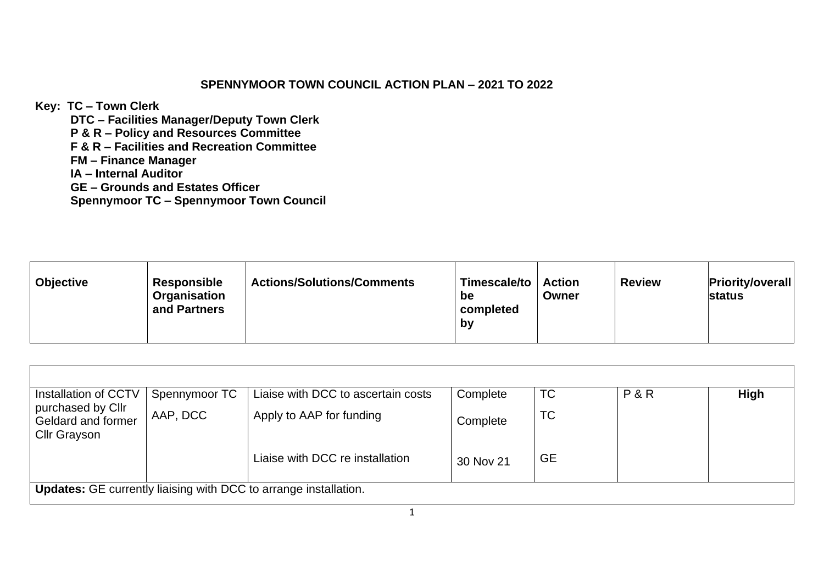## **SPENNYMOOR TOWN COUNCIL ACTION PLAN – 2021 TO 2022**

**Key: TC – Town Clerk**

**DTC – Facilities Manager/Deputy Town Clerk P & R – Policy and Resources Committee F & R – Facilities and Recreation Committee FM – Finance Manager IA – Internal Auditor GE – Grounds and Estates Officer Spennymoor TC – Spennymoor Town Council**

| <b>Responsible</b><br><b>Objective</b><br>Organisation<br>and Partners | <b>Actions/Solutions/Comments</b> | Timescale/to<br>be<br>completed<br><b>by</b> | <b>Action</b><br>Owner | <b>Review</b> | <b>Priority/overall</b><br>status |
|------------------------------------------------------------------------|-----------------------------------|----------------------------------------------|------------------------|---------------|-----------------------------------|
|------------------------------------------------------------------------|-----------------------------------|----------------------------------------------|------------------------|---------------|-----------------------------------|

| Installation of CCTV                                                    | Spennymoor TC | Liaise with DCC to ascertain costs | Complete  | <b>TC</b> | P&R | <b>High</b> |
|-------------------------------------------------------------------------|---------------|------------------------------------|-----------|-----------|-----|-------------|
| purchased by Cllr<br>Geldard and former<br><b>Cllr Grayson</b>          | AAP, DCC      | Apply to AAP for funding           | Complete  | TC        |     |             |
|                                                                         |               | Liaise with DCC re installation    | 30 Nov 21 | <b>GE</b> |     |             |
| <b>Updates:</b> GE currently liaising with DCC to arrange installation. |               |                                    |           |           |     |             |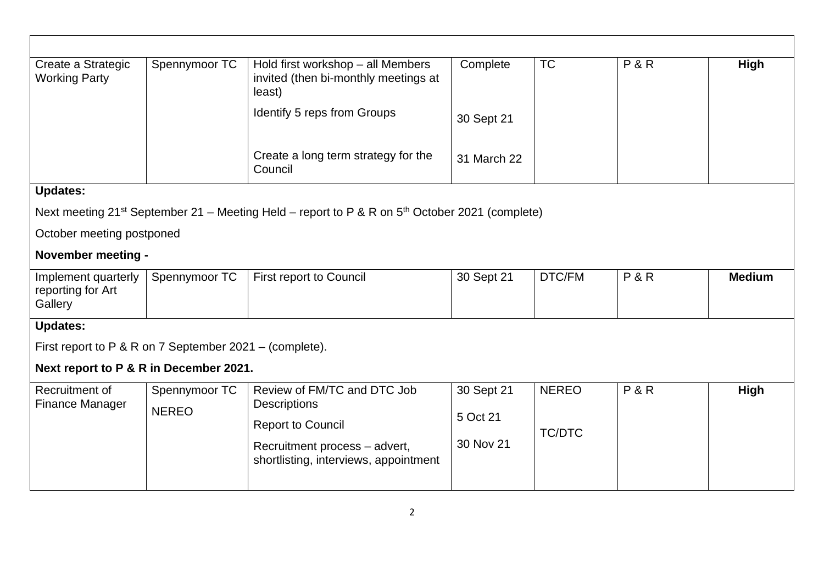| Spennymoor TC                                                                                            | Hold first workshop - all Members<br>invited (then bi-monthly meetings at<br>least) | Complete                                        | <b>TC</b>                     | P&R | High          |  |  |
|----------------------------------------------------------------------------------------------------------|-------------------------------------------------------------------------------------|-------------------------------------------------|-------------------------------|-----|---------------|--|--|
|                                                                                                          | Identify 5 reps from Groups                                                         | 30 Sept 21                                      |                               |     |               |  |  |
|                                                                                                          | Create a long term strategy for the<br>Council                                      | 31 March 22                                     |                               |     |               |  |  |
|                                                                                                          |                                                                                     |                                                 |                               |     |               |  |  |
| Next meeting $21^{st}$ September 21 – Meeting Held – report to P & R on $5^{th}$ October 2021 (complete) |                                                                                     |                                                 |                               |     |               |  |  |
|                                                                                                          |                                                                                     |                                                 |                               |     |               |  |  |
|                                                                                                          |                                                                                     |                                                 |                               |     |               |  |  |
| Spennymoor TC                                                                                            | <b>First report to Council</b>                                                      | 30 Sept 21                                      | DTC/FM                        | P&R | <b>Medium</b> |  |  |
| <b>Updates:</b>                                                                                          |                                                                                     |                                                 |                               |     |               |  |  |
| First report to P & R on 7 September $2021 - (complete)$ .                                               |                                                                                     |                                                 |                               |     |               |  |  |
| Next report to P & R in December 2021.                                                                   |                                                                                     |                                                 |                               |     |               |  |  |
| Spennymoor TC<br><b>NEREO</b>                                                                            | Review of FM/TC and DTC Job                                                         | 30 Sept 21                                      | <b>NEREO</b><br><b>TC/DTC</b> | P&R | <b>High</b>   |  |  |
|                                                                                                          |                                                                                     | 5 Oct 21                                        |                               |     |               |  |  |
|                                                                                                          | Recruitment process - advert,<br>shortlisting, interviews, appointment              | 30 Nov 21                                       |                               |     |               |  |  |
|                                                                                                          | October meeting postponed<br><b>November meeting -</b>                              | <b>Descriptions</b><br><b>Report to Council</b> |                               |     |               |  |  |